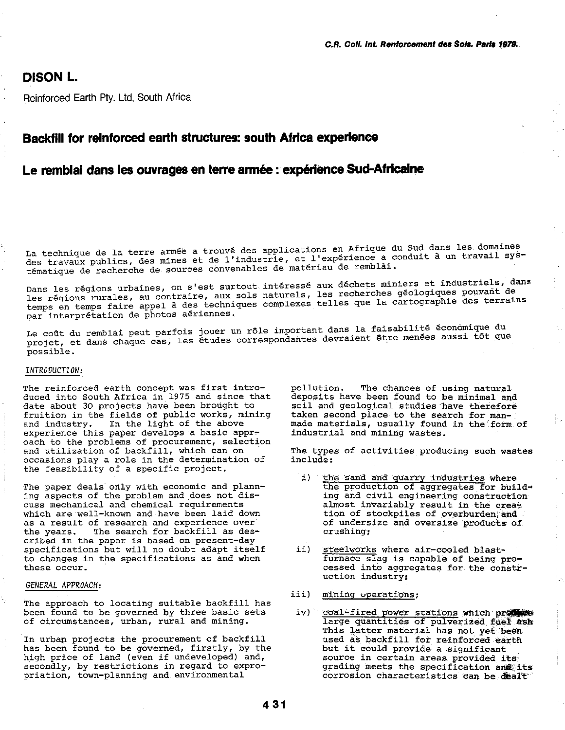# DISON L.

Reinforced Earth Ply. Ltd, South Africa

# Backfill for reinforced earth structures: south Africa experience

# Le remblai dans les ouvrages en terre armée : expérience Sud-Africaine

La technique de la terre armée a trouvé des applications en Afrique du Sud dans les domaines des travaux publics, des mines et de l'industrie, et l'expérience a conduit à un travail sys-<br>tématique de recherche de sources convenables de matériau de remblai.

Dans les régions urbaines, on s'est surtout intéressé aux déchets miniers et industriels, dans Dans les régions urbaines, on s'est surtout interesse aux déchées ministres pouvant de<br>les régions rurales, au contraire, aux sols naturels, les recherches géologiques pouvant de les régions rurales, au contraire, aux sols naturels, les fécherches géorogrades premier.<br>temps en temps faire appel à des techniques complexes telles que la cartographie des terrains par interprétation de photos aériennes.

Le coût du remblai peut parfois jouer un rôle important dans la faisabilité éconômique du<br>Le coût du remblai peut parfois jouer un rôle important dans la faisabilité éconômique du Le coût du remblai peut pariois jouer un roie important dans la farballiste formes.<br>projet, et dans chaque cas, les études correspondantes devraient être menées aussi tôt que possible.

### *INTROVUCTION:*

The reinforced earth concept was first introduced into South Africa in 1975 and since that date about 30 projects have been brought to fruition in the fields of public works, mining and industry. In the light of the above experience this paper develops a basic approach to the problems of procurement, selection and utilization of backfill, which can on occasions play a role in the determination of the feasibility of a specific project.

The paper deals only with economic and planning aspects of the problem and does not discuss mechanical and chemical requirements which are well-known and have been laid down as a result of research and experience over the years. The search for backfill as des-The search for backfill as described *in* the paper *is* based on present-day specifications but will no doubt adapt itself to changes *in* the specifications as and when these occur.

#### *GENERAL APPROACH:*

The approach to locating suitable backfill has been found to be governed by three basic sets of circumstances, urban, rural and mining.

In urbap projects the procurement of backfill has been found to be governed, firstly, by the high price of land (even if undeveloped) and, secondly, by restrictions in regard to expropriation, town-planning and environmental

pollution. The chances of using natural deposits have been found to be minimal and soil and geological studies 'have therefore taken second place to the search for manmade materials, usually found in the form of industrial and mining wastes.

The types of activities producing such wastes include:

- i) the sand and quarry industries where the production of aggregates for building and civil engineering construction almost invariably result in the creat tion of stockpiles of overburden; and of undersize and oversize products of crushing;
- ii) steelworks where air-cooled blastfurnace slag is capable of being processed into aggregates for the construction industry:
- iii) mining uperations;
- *i*v) coal-fired power stations which promote large quantities of pulverized fuel ash This latter material has not yet been used as backfill for reinforced earth but it couLd provide a significant source in certain areas provided its grading meets the specification and its corrosion characteristics can be dealt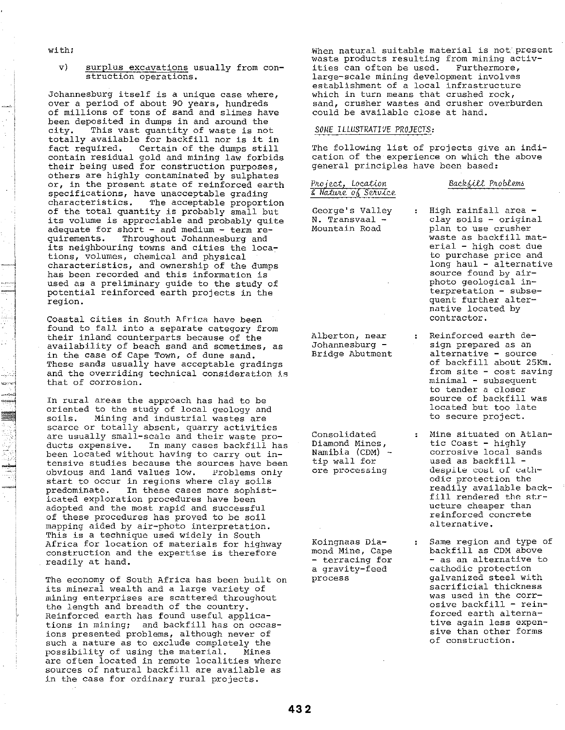withi

v) surplus excavations usually from construction operations.

Johannesburg itself is a unique case where, over a period of about 90 years, hundreds of millions of tons of sand and slimes have been deposited in dumps in and around the<br>citv. This vast quantity of waste is not This vast quantity of waste is not totally available for backfill nor is it in Certain of the dumps still contain residual gold and mining law forbids their being used for construction purposes, others are highly contaminated by sulphates or, in the present state of reinforced earth specifications, have unacceptable grading characteristics. The acceptable proportion of the total quantity is probably small but its volume is appreciable and probably quite adequate for short - and medium - term re-<br>quirements. Throughout Johannesburg and Throughout Johannesburg and its neighbouring towns and cities the locations, volumes, chemical and physical characteristics, and ownership of the dumps has been recorded and this information is used as a preliminary guide to the study of potential reinforced earth projects in the region.

Coastal cities in South Africa have been found to fall into a separate category from their inland counterparts because of the availability of beach sand and sometimes, as in the case of Cape Town, of dune sand. These sands usually have acceptable gradings and the overriding technical consideration is that of corrosion.

In rural areas the approach has had to be oriented to the study of local geology and<br>soils. Mining and industrial wastes are Mining and industrial wastes are scarce or totally absent, quarry activities are usually small-scale and their waste products expensive. In many cases backfill has been located without having to carry out intensive studies because the sources have been ubvious and land values low. Problems only start to occur in regions where clay *soils*  In these cases more sophisticated exploration procedures have been adopted and the most rapid and successful of these procedures has proved to be soil mapping aided by air-photo interpretation. This is a technique used widely in South Africa for location of materials for highway construction and the expertise is therefore readily at hand.

The economy of South Africa has been built on its mineral wealth and a large variety of mining enterprises are scattered throughout the length and breadth of the country. Reinforced earth has found useful applications in mining; and backfill has on occasions presented problems, although never of such a nature as to exclude completely the<br>possibility of using the material. Mines possibility of using the material. are often located in remote localities where sources of natural backfill are available as in the case for ordinary rural projects.

When natural suitable material is not present waste products resulting from mining activities can often be used. Furthermore, large-scale mining development involves establishment of a local infrastructure which in turn means that crushed rock, sand, crusher wastes and crusher overburden sana, crasher wastes and crasher

# *SOME ILLUSTRATIVE PROJECTS:*

The following list of projects give an indication of the experience on which the above general principles have been based:

Project, Location g *NaJIvte,* 00 *SeJtv-lee,*  Backfill Problems

High rainfall area -

George's Valley N. Transvaal - Mountain Road

clay soils - original plan to use crusher waste as backfill material - high cost due to purchase price and long haul - alternative source found by airphoto geological interpretation - subsequent further alternative located by contractor.

- Alberton, near Johannesburg - Bridge Abutment Reinforced earth design prepared as an alternative - source of backfill about 25Km. from site - cost saving minimal - subsequent
- Consolidated Diamond Mines, Namibia (CDM) - tip wall for ore processing

Koingnaas Diamond Mine, Cape - terracing for a gravity-feed process

located but too late to secure project. Mine situated on Atlantic Coast - highly corrosive local sands used as backfill despile cost of cathodic protection the readily available backfill rendered the structure cheaper than reinforced concrete

alternative.

to tender a closer source of backfill was

Same region and type of backfill as CDM above - as an alternative to cathodic protection galvanized steel with sacrificial thickness was used in the corrosive backfill - reinforced earth alternative again less expensive than other forms of construction.